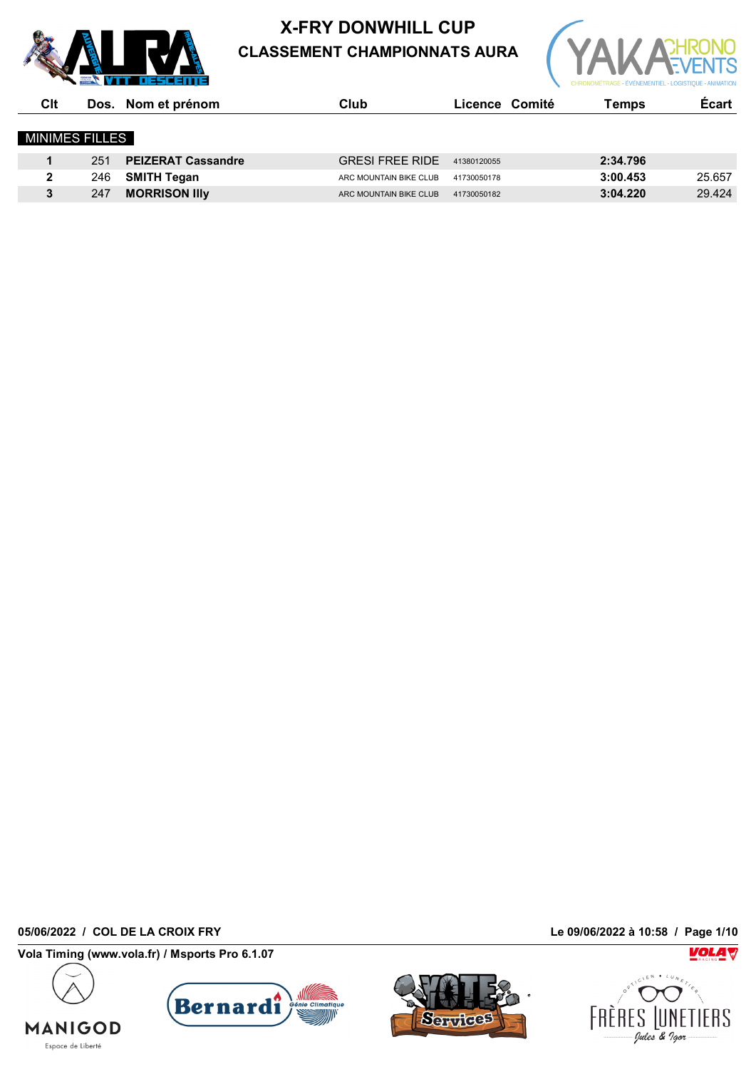



| Clt                   |     | Dos. Nom et prénom        | Club                   | Licence Comité | Temps    | <b>Ecart</b> |
|-----------------------|-----|---------------------------|------------------------|----------------|----------|--------------|
| <b>MINIMES FILLES</b> |     |                           |                        |                |          |              |
|                       | 251 | <b>PEIZERAT Cassandre</b> | <b>GRESI FREE RIDE</b> | 41380120055    | 2:34.796 |              |
| 2                     | 246 | <b>SMITH Tegan</b>        | ARC MOUNTAIN BIKE CLUB | 41730050178    | 3:00.453 | 25.657       |
| 3                     | 247 | <b>MORRISON IIIV</b>      | ARC MOUNTAIN BIKE CLUB | 41730050182    | 3:04.220 | 29.424       |

**05/06/2022 / COL DE LA CROIX FRY Le 09/06/2022 à 10:58 / Page 1/10**

**MANIGOD** Espace de Liberté

**Vola Timing (www.vola.fr) / Msports Pro 6.1.07**





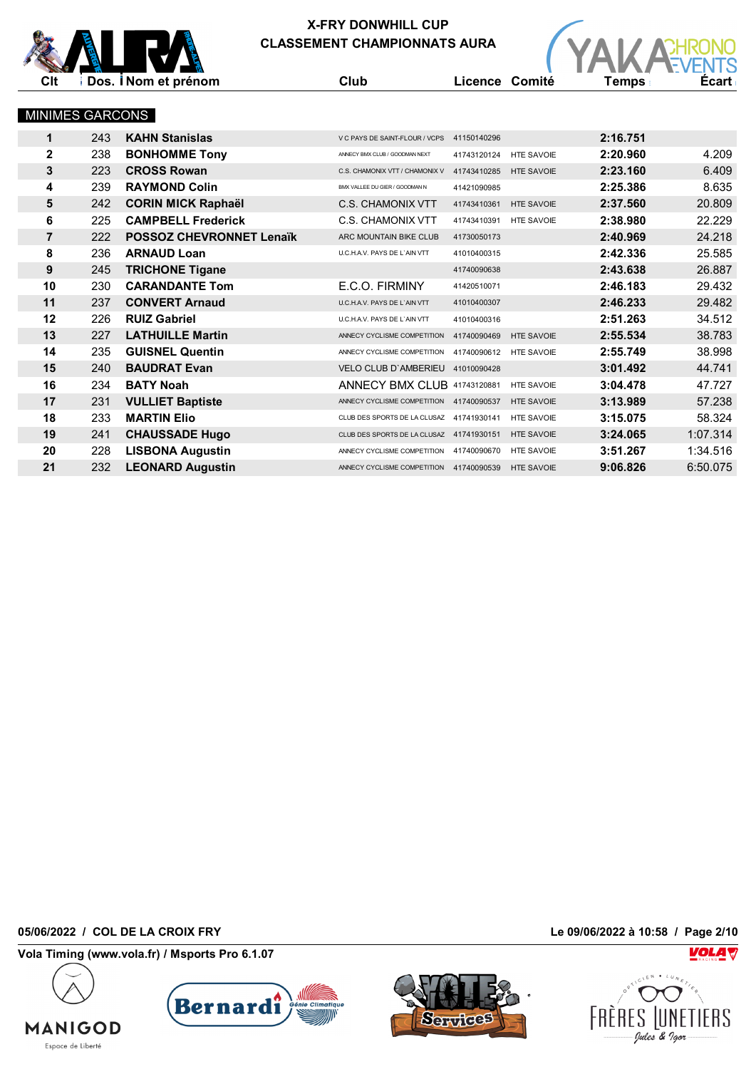

|                | <b>X-FRY DONWHILL CUP</b> |                                 |  |                                                    |                |                   |          |              |  |  |
|----------------|---------------------------|---------------------------------|--|----------------------------------------------------|----------------|-------------------|----------|--------------|--|--|
|                |                           |                                 |  | <b>CLASSEMENT CHAMPIONNATS AURA</b>                |                |                   |          |              |  |  |
|                |                           |                                 |  |                                                    |                |                   |          |              |  |  |
| Clt            |                           | Dos. <i>Nom</i> et prénom       |  | Club                                               | Licence Comité |                   | Temps    | <b>Écart</b> |  |  |
|                |                           |                                 |  |                                                    |                |                   |          |              |  |  |
|                | MINIMES GARCONS           |                                 |  |                                                    |                |                   |          |              |  |  |
| $\mathbf 1$    | 243                       | <b>KAHN Stanislas</b>           |  | V C PAYS DE SAINT-FLOUR / VCPS 41150140296         |                |                   | 2:16.751 |              |  |  |
| $\mathbf{2}$   | 238                       | <b>BONHOMME Tony</b>            |  | ANNECY BMX CLUB / GOODMAN NEXT                     | 41743120124    | <b>HTE SAVOIE</b> | 2:20.960 | 4.209        |  |  |
| 3              | 223                       | <b>CROSS Rowan</b>              |  | C.S. CHAMONIX VTT / CHAMONIX V                     | 41743410285    | <b>HTE SAVOIE</b> | 2:23.160 | 6.409        |  |  |
| 4              | 239                       | <b>RAYMOND Colin</b>            |  | BMX VALLEE DU GIER / GOODMAN N                     | 41421090985    |                   | 2:25.386 | 8.635        |  |  |
| 5              | 242                       | <b>CORIN MICK Raphaël</b>       |  | <b>C.S. CHAMONIX VTT</b>                           | 41743410361    | <b>HTE SAVOIE</b> | 2:37.560 | 20.809       |  |  |
| 6              | 225                       | <b>CAMPBELL Frederick</b>       |  | <b>C.S. CHAMONIX VTT</b>                           | 41743410391    | <b>HTE SAVOIE</b> | 2:38.980 | 22.229       |  |  |
| $\overline{7}$ | 222                       | <b>POSSOZ CHEVRONNET Lenaïk</b> |  | ARC MOUNTAIN BIKE CLUB                             | 41730050173    |                   | 2:40.969 | 24.218       |  |  |
| 8              | 236                       | <b>ARNAUD Loan</b>              |  | U.C.H.A.V. PAYS DE L'AIN VTT                       | 41010400315    |                   | 2:42.336 | 25.585       |  |  |
| 9              | 245                       | <b>TRICHONE Tigane</b>          |  |                                                    | 41740090638    |                   | 2:43.638 | 26.887       |  |  |
| 10             | 230                       | <b>CARANDANTE Tom</b>           |  | E.C.O. FIRMINY                                     | 41420510071    |                   | 2:46.183 | 29.432       |  |  |
| 11             | 237                       | <b>CONVERT Arnaud</b>           |  | U.C.H.A.V. PAYS DE L'AIN VTT                       | 41010400307    |                   | 2:46.233 | 29.482       |  |  |
| 12             | 226                       | <b>RUIZ Gabriel</b>             |  | U.C.H.A.V. PAYS DE L'AIN VTT                       | 41010400316    |                   | 2:51.263 | 34.512       |  |  |
| 13             | 227                       | <b>LATHUILLE Martin</b>         |  | ANNECY CYCLISME COMPETITION 41740090469            |                | <b>HTE SAVOIE</b> | 2:55.534 | 38.783       |  |  |
| 14             | 235                       | <b>GUISNEL Quentin</b>          |  | ANNECY CYCLISME COMPETITION 41740090612 HTE SAVOIE |                |                   | 2:55.749 | 38.998       |  |  |
| 15             | 240                       | <b>BAUDRAT Evan</b>             |  | VELO CLUB D'AMBERIEU 41010090428                   |                |                   | 3:01.492 | 44.741       |  |  |
| 16             | 234                       | <b>BATY Noah</b>                |  | ANNECY BMX CLUB 41743120881                        |                | <b>HTE SAVOIE</b> | 3:04.478 | 47.727       |  |  |
| 17             | 231                       | <b>VULLIET Baptiste</b>         |  | ANNECY CYCLISME COMPETITION 41740090537            |                | <b>HTE SAVOIE</b> | 3:13.989 | 57.238       |  |  |
| 18             | 233                       | <b>MARTIN Elio</b>              |  | CLUB DES SPORTS DE LA CLUSAZ 41741930141           |                | <b>HTE SAVOIE</b> | 3:15.075 | 58.324       |  |  |
| 19             | 241                       | <b>CHAUSSADE Hugo</b>           |  | CLUB DES SPORTS DE LA CLUSAZ 41741930151           |                | <b>HTE SAVOIE</b> | 3:24.065 | 1:07.314     |  |  |
| 20             | 228                       | <b>LISBONA Augustin</b>         |  | ANNECY CYCLISME COMPETITION 41740090670            |                | <b>HTE SAVOIE</b> | 3:51.267 | 1:34.516     |  |  |
| 21             | 232                       | <b>LEONARD Augustin</b>         |  | ANNECY CYCLISME COMPETITION 41740090539            |                | <b>HTE SAVOIE</b> | 9:06.826 | 6:50.075     |  |  |

**05/06/2022 / COL DE LA CROIX FRY Le 09/06/2022 à 10:58 / Page 2/10**

**MANIGOD** Espace de Liberté

**Vola Timing (www.vola.fr) / Msports Pro 6.1.07**







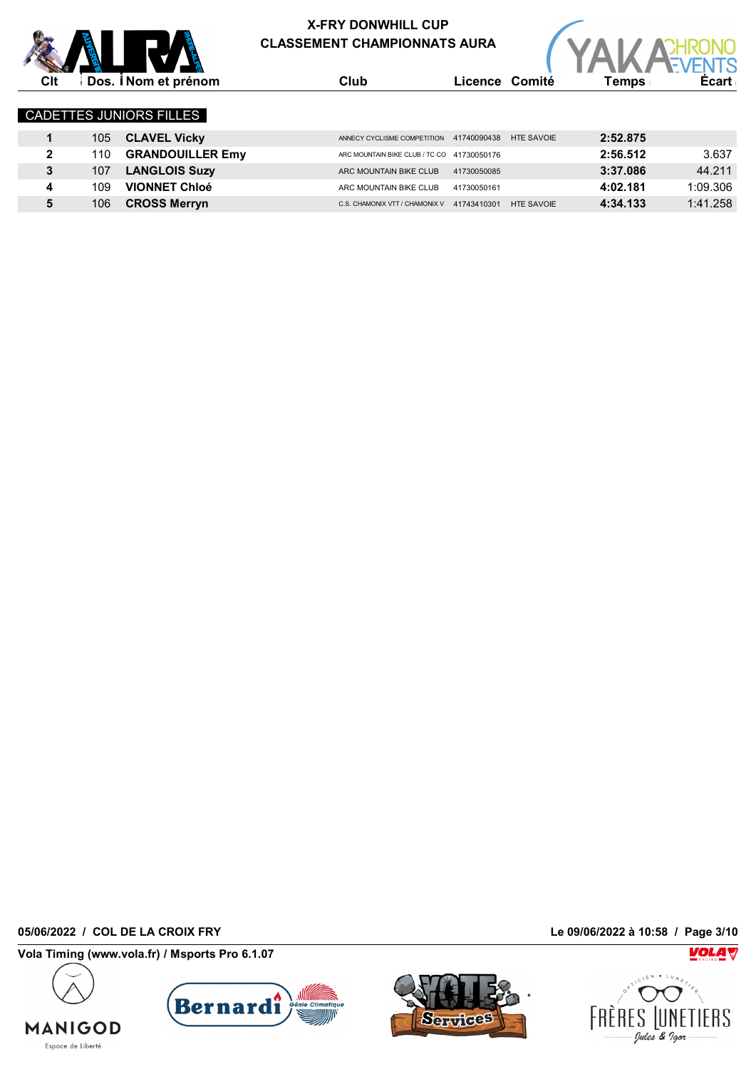



| Clt          |     | Dos. <i>i</i> Nom et prénom    | Club                                       |             | Licence Comité    | Temps .  | <b>Ecart</b> |
|--------------|-----|--------------------------------|--------------------------------------------|-------------|-------------------|----------|--------------|
|              |     | <b>CADETTES JUNIORS FILLES</b> |                                            |             |                   |          |              |
|              | 105 | <b>CLAVEL Vicky</b>            | ANNECY CYCLISME COMPETITION                | 41740090438 | <b>HTE SAVOIE</b> | 2:52.875 |              |
| $\mathbf{2}$ | 110 | <b>GRANDOUILLER Emy</b>        | ARC MOUNTAIN BIKE CLUB / TC CO 41730050176 |             |                   | 2:56.512 | 3.637        |
| 3            | 107 | <b>LANGLOIS Suzy</b>           | ARC MOUNTAIN BIKE CLUB                     | 41730050085 |                   | 3:37.086 | 44.211       |
| 4            | 109 | <b>VIONNET Chloé</b>           | ARC MOUNTAIN BIKE CLUB                     | 41730050161 |                   | 4:02.181 | 1:09.306     |
|              | 106 | <b>CROSS Merryn</b>            | C.S. CHAMONIX VTT / CHAMONIX V             | 41743410301 | <b>HTE SAVOIE</b> | 4:34.133 | 1:41.258     |

**05/06/2022 / COL DE LA CROIX FRY Le 09/06/2022 à 10:58 / Page 3/10**

**MANIGOD** Espace de Liberté

**Vola Timing (www.vola.fr) / Msports Pro 6.1.07**





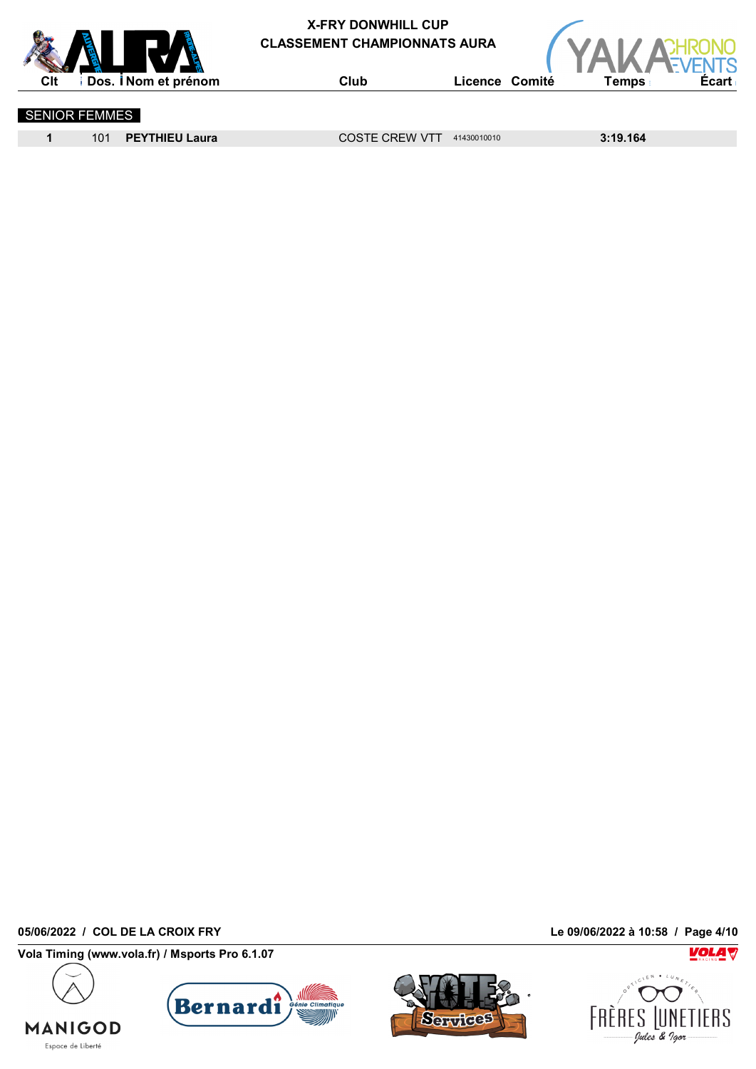



SENIOR FEMMES

**1** 101 **PEYTHIEU Laura** COSTE CREW VTT <sup>41430010010</sup> **3:19.164**

**05/06/2022 / COL DE LA CROIX FRY Le 09/06/2022 à 10:58 / Page 4/10**

**MANIGOD** Espace de Liberté

**Vola Timing (www.vola.fr) / Msports Pro 6.1.07**





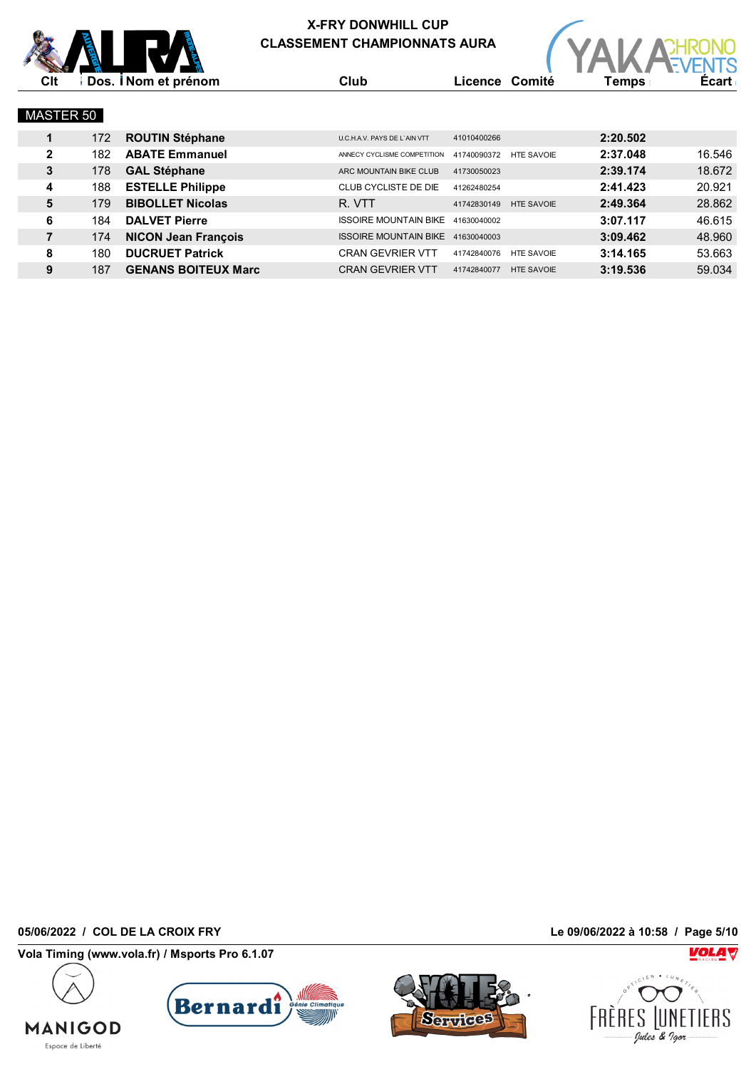



| <b>MASTER 50</b> |     |                            |                              |             |                   |          |        |
|------------------|-----|----------------------------|------------------------------|-------------|-------------------|----------|--------|
| 1                | 172 | <b>ROUTIN Stéphane</b>     | U.C.H.A.V. PAYS DE L'AIN VTT | 41010400266 |                   | 2:20.502 |        |
| $\mathbf{2}$     | 182 | <b>ABATE Emmanuel</b>      | ANNECY CYCLISME COMPETITION  | 41740090372 | <b>HTE SAVOIE</b> | 2:37.048 | 16.546 |
| 3                | 178 | <b>GAL Stéphane</b>        | ARC MOUNTAIN BIKE CLUB       | 41730050023 |                   | 2:39.174 | 18.672 |
| 4                | 188 | <b>ESTELLE Philippe</b>    | CLUB CYCLISTE DE DIE         | 41262480254 |                   | 2:41.423 | 20.921 |
| 5                | 179 | <b>BIBOLLET Nicolas</b>    | R. VTT                       | 41742830149 | <b>HTE SAVOIE</b> | 2:49.364 | 28.862 |
| 6                | 184 | <b>DALVET Pierre</b>       | <b>ISSOIRE MOUNTAIN BIKE</b> | 41630040002 |                   | 3:07.117 | 46.615 |
| 7                | 174 | <b>NICON Jean François</b> | <b>ISSOIRE MOUNTAIN BIKE</b> | 41630040003 |                   | 3:09.462 | 48.960 |
| 8                | 180 | <b>DUCRUET Patrick</b>     | <b>CRAN GEVRIER VTT</b>      | 41742840076 | <b>HTE SAVOIE</b> | 3:14.165 | 53.663 |
| 9                | 187 | <b>GENANS BOITEUX Marc</b> | <b>CRAN GEVRIER VTT</b>      | 41742840077 | <b>HTE SAVOIE</b> | 3:19.536 | 59.034 |

**05/06/2022 / COL DE LA CROIX FRY Le 09/06/2022 à 10:58 / Page 5/10**

**MANIGOD** Espace de Liberté

**Vola Timing (www.vola.fr) / Msports Pro 6.1.07**





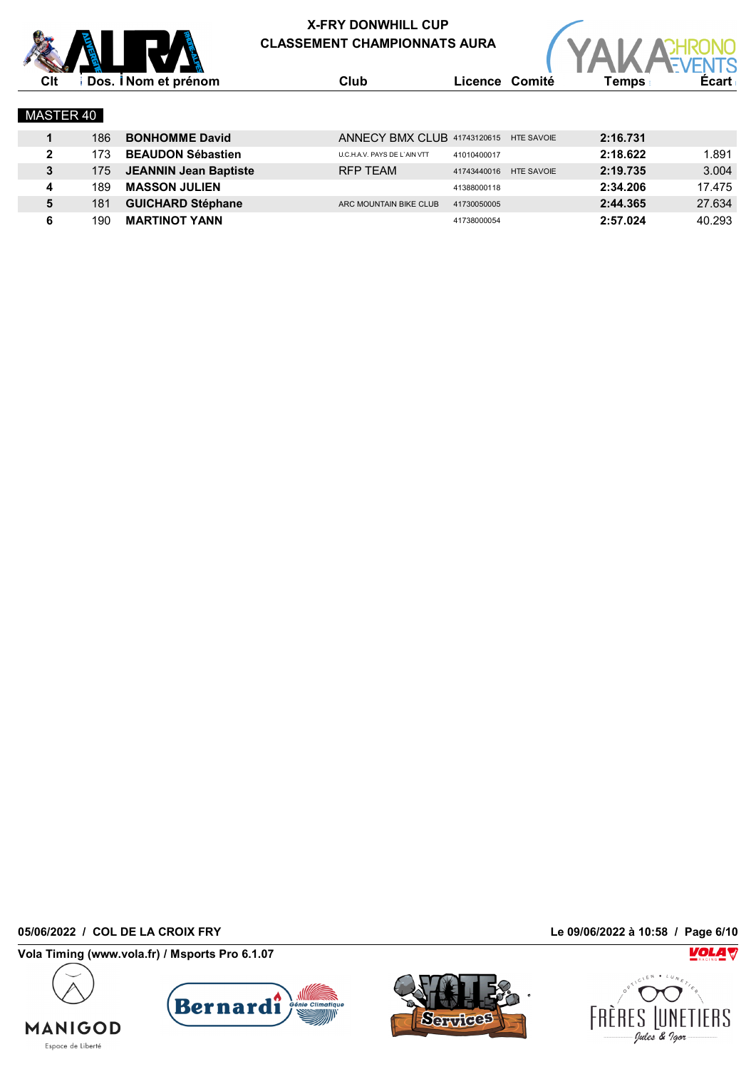



|              | 186  | <b>BONHOMME David</b>        |                              | ANNECY BMX CLUB 41743120615 HTE SAVOIE | 2:16.731 |        |
|--------------|------|------------------------------|------------------------------|----------------------------------------|----------|--------|
| $\mathbf{2}$ | 173  | <b>BEAUDON Sébastien</b>     | U.C.H.A.V. PAYS DE L'AIN VTT | 41010400017                            | 2:18.622 | 891. ا |
| 3            | 1751 | <b>JEANNIN Jean Baptiste</b> | RFP TEAM                     | 41743440016 HTE SAVOIE                 | 2:19.735 | 3.004  |
| 4            | 189  | <b>MASSON JULIEN</b>         |                              | 41388000118                            | 2:34.206 | 17.475 |
| 5            | 181  | <b>GUICHARD Stéphane</b>     | ARC MOUNTAIN BIKE CLUB       | 41730050005                            | 2:44.365 | 27.634 |
|              | 190  | <b>MARTINOT YANN</b>         |                              | 41738000054                            | 2:57.024 | 40.293 |

**05/06/2022 / COL DE LA CROIX FRY Le 09/06/2022 à 10:58 / Page 6/10**

**MANIGOD** Espace de Liberté

**Vola Timing (www.vola.fr) / Msports Pro 6.1.07**





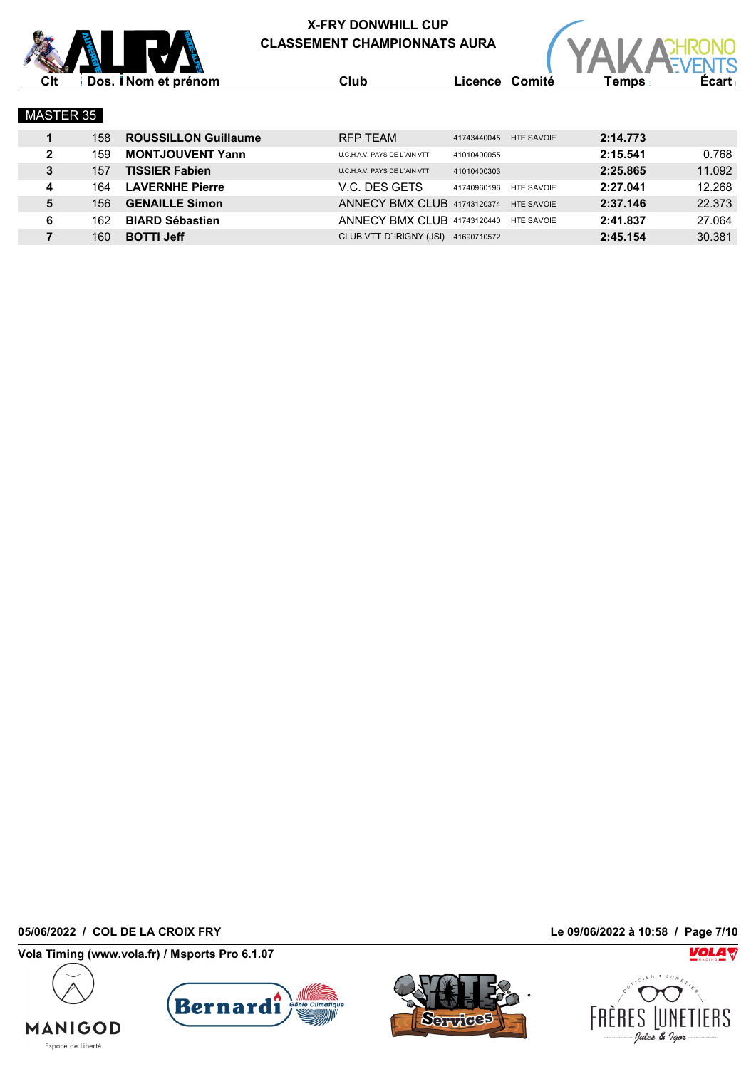



| MASTER 35 |     |                          |                    |
|-----------|-----|--------------------------|--------------------|
|           |     | 158 ROUSSILLON Guillaume | <b>RFP TEAM</b>    |
|           | 159 | <b>MONTJOUVENT Yann</b>  | U.C.H.A.V. PAYS DE |

|              | 158 | <b>ROUSSILLON Guillaume</b> | RFP TEAM                               | 41743440045 HTE SAVOIE |                   | 2:14.773 |        |
|--------------|-----|-----------------------------|----------------------------------------|------------------------|-------------------|----------|--------|
| $\mathbf{2}$ | 159 | <b>MONTJOUVENT Yann</b>     | <b>U.C.H.A.V. PAYS DE L'AIN VTT</b>    | 41010400055            |                   | 2:15.541 | 0.768  |
| 3            | 157 | <b>TISSIER Fabien</b>       | U.C.H.A.V. PAYS DE L'AIN VTT           | 41010400303            |                   | 2:25.865 | 11.092 |
| 4            | 164 | <b>LAVERNHE Pierre</b>      | V.C. DES GETS                          | 41740960196            | <b>HTE SAVOIE</b> | 2:27.041 | 12.268 |
| 5            | 156 | <b>GENAILLE Simon</b>       | ANNECY BMX CLUB 41743120374 HTE SAVOIE |                        |                   | 2:37.146 | 22.373 |
| 6            | 162 | <b>BIARD Sébastien</b>      | ANNECY BMX CLUB 41743120440 HTE SAVOIE |                        |                   | 2:41.837 | 27.064 |
|              | 160 | <b>BOTTI Jeff</b>           | CLUB VTT D'IRIGNY (JSI)                | 41690710572            |                   | 2:45.154 | 30.381 |

**05/06/2022 / COL DE LA CROIX FRY Le 09/06/2022 à 10:58 / Page 7/10**

**MANIGOD** Espace de Liberté

**Vola Timing (www.vola.fr) / Msports Pro 6.1.07**





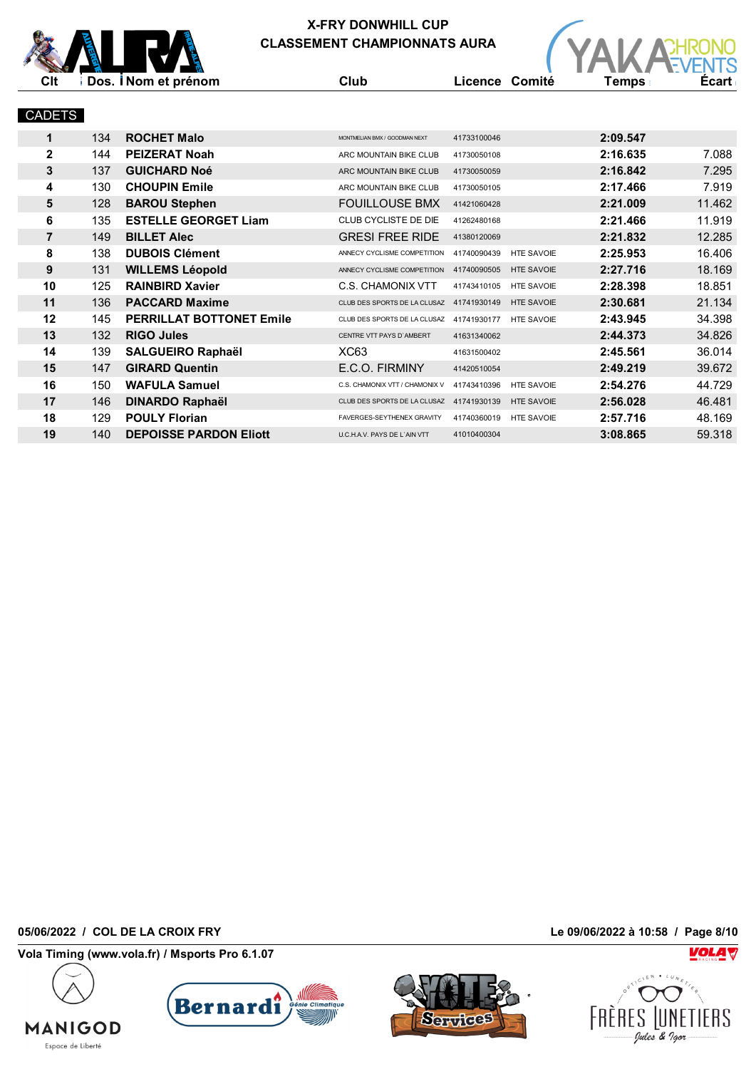



 135 **ESTELLE GEORGET Liam** CLUB CYCLISTE DE DIE <sup>41262480168</sup> **2:21.466** 11.919 149 **BILLET Alec** GRESI FREE RIDE <sup>41380120069</sup> **2:21.832** 12.285 138 DUBOIS Clément **ANNECY CYCLISME COMPETITION** 41740090439 HTE SAVOIE 2:25.953 16.406 131 WILLEMS Léopold **ANNECY CYCLISME COMPETITION 41740090505** HTE SAVOIE 2:27.716 18.169 125 **RAINBIRD Xavier** C.S. CHAMONIX VTT <sup>41743410105</sup> HTE SAVOIE **2:28.398** 18.851 136 **PACCARD Maxime** CLUB DES SPORTS DE LA CLUSAZ <sup>41741930149</sup> HTE SAVOIE **2:30.681** 21.134 145 **PERRILLAT BOTTONET Emile** CLUB DES SPORTS DE LA CLUSAZ <sup>41741930177</sup> HTE SAVOIE **2:43.945** 34.398 132 **RIGO Jules** CENTRE VTT PAYS D`AMBERT <sup>41631340062</sup> **2:44.373** 34.826 139 **SALGUEIRO Raphaël** XC63 <sup>41631500402</sup> **2:45.561** 36.014 147 **GIRARD Quentin** E.C.O. FIRMINY <sup>41420510054</sup> **2:49.219** 39.672 150 **WAFULA Samuel C.S. CHAMONIX VTT/ CHAMONIX V** 41743410396 HTE SAVOIE **2:54.276** 44.729 146 **DINARDO Raphaël** CLUB DES SPORTS DE LA CLUSAZ <sup>41741930139</sup> HTE SAVOIE **2:56.028** 46.481 129 **POULY Florian FAUL BEAVERGES-SEYTHENEX GRAVITY** 41740360019 HTE SAVOIE **2:57.716** 48.169 140 **DEPOISSE PARDON Eliott** U.C.HA.V. PAYS DE L'AIN VTT 41010400304 **3:08.865** 59.318

**05/06/2022 / COL DE LA CROIX FRY Le 09/06/2022 à 10:58 / Page 8/10**

**MANIGOD** Espace de Liberté

**Vola Timing (www.vola.fr) / Msports Pro 6.1.07**





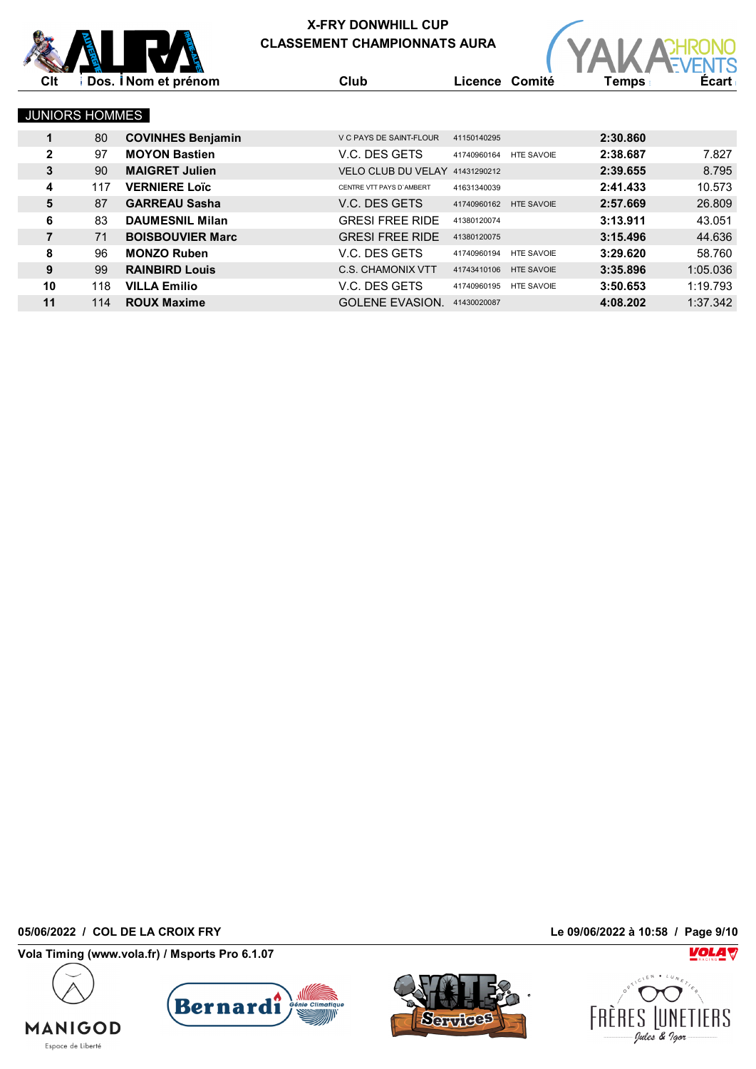



**Clt Dos. Nom et prénom Club Licence Comité Temps Écart**



#### JUNIORS HOMMES

| 1            | 80  | <b>COVINHES Benjamin</b> | V C PAYS DE SAINT-FLOUR        | 41150140295 |                   | 2:30.860 |          |
|--------------|-----|--------------------------|--------------------------------|-------------|-------------------|----------|----------|
| $\mathbf{2}$ | 97  | <b>MOYON Bastien</b>     | V.C. DES GETS                  | 41740960164 | <b>HTE SAVOIE</b> | 2:38.687 | 7.827    |
| 3            | 90  | <b>MAIGRET Julien</b>    | VELO CLUB DU VELAY 41431290212 |             |                   | 2:39.655 | 8.795    |
| 4            | 117 | <b>VERNIERE Loïc</b>     | CENTRE VTT PAYS D'AMBERT       | 41631340039 |                   | 2:41.433 | 10.573   |
| 5            | 87  | <b>GARREAU Sasha</b>     | V.C. DES GETS                  | 41740960162 | <b>HTE SAVOIE</b> | 2:57.669 | 26,809   |
| 6            | 83  | <b>DAUMESNIL Milan</b>   | <b>GRESI FREE RIDE</b>         | 41380120074 |                   | 3:13.911 | 43.051   |
|              | 71  | <b>BOISBOUVIER Marc</b>  | <b>GRESI FREE RIDE</b>         | 41380120075 |                   | 3:15.496 | 44.636   |
| 8            | 96  | <b>MONZO Ruben</b>       | V.C. DES GETS                  | 41740960194 | <b>HTE SAVOIE</b> | 3:29.620 | 58.760   |
| 9            | 99  | <b>RAINBIRD Louis</b>    | C.S. CHAMONIX VTT              | 41743410106 | <b>HTE SAVOIE</b> | 3:35.896 | 1:05.036 |
| 10           | 118 | <b>VILLA Emilio</b>      | V.C. DES GETS                  | 41740960195 | <b>HTE SAVOIE</b> | 3:50.653 | 1:19.793 |
| 11           | 114 | <b>ROUX Maxime</b>       | <b>GOLENE EVASION.</b>         | 41430020087 |                   | 4:08.202 | 1:37.342 |

**05/06/2022 / COL DE LA CROIX FRY Le 09/06/2022 à 10:58 / Page 9/10**

**MANIGOD** Espace de Liberté

**Vola Timing (www.vola.fr) / Msports Pro 6.1.07**